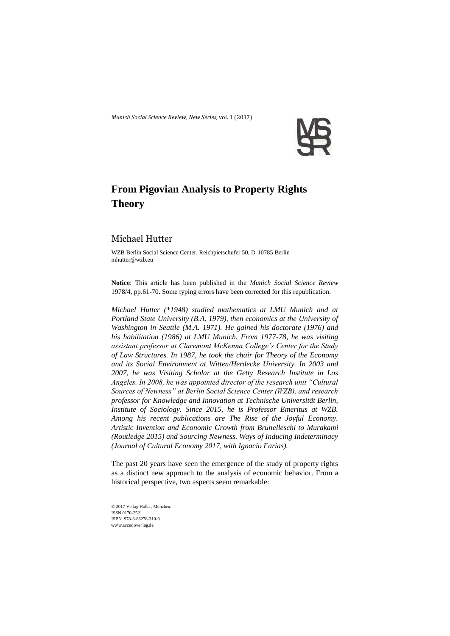*Munich Social Science Review*, *New Series,* vol. 1 (2017)



## **From Pigovian Analysis to Property Rights Theory**

## Michael Hutter

WZB Berlin Social Science Center, Reichpietschufer 50, D-10785 Berlin mhutter@wzb.eu

**Notice**: This article has been published in the *Munich Social Science Review* 1978/4, pp.61-70. Some typing errors have been corrected for this republication.

*Michael Hutter (\*1948) studied mathematics at LMU Munich and at Portland State University (B.A. 1979), then economics at the University of Washington in Seattle (M.A. 1971). He gained his doctorate (1976) and his habilitation (1986) at LMU Munich. From 1977-78, he was visiting assistant professor at Claremont McKenna College's Center for the Study of Law Structures. In 1987, he took the chair for Theory of the Economy and its Social Environment at Witten/Herdecke University. In 2003 and 2007, he was Visiting Scholar at the Getty Research Institute in Los Angeles. In 2008, he was appointed director of the research unit "Cultural Sources of Newness" at Berlin Social Science Center (WZB), and research professor for Knowledge and Innovation at Technische Universität Berlin, Institute of Sociology. Since 2015, he is Professor Emeritus at WZB. Among his recent publications are The Rise of the Joyful Economy. Artistic Invention and Economic Growth from Brunelleschi to Murakami (Routledge 2015) and Sourcing Newness. Ways of Inducing Indeterminacy (Journal of Cultural Economy 2017, with Ignacio Farías).*

The past 20 years have seen the emergence of the study of property rights as a distinct new approach to the analysis of economic behavior. From a historical perspective, two aspects seem remarkable:

© 2017 Verlag Holler, München. ISSN 0170-2521 ISBN 978-3-88278-310-0 www.accedoverlag.de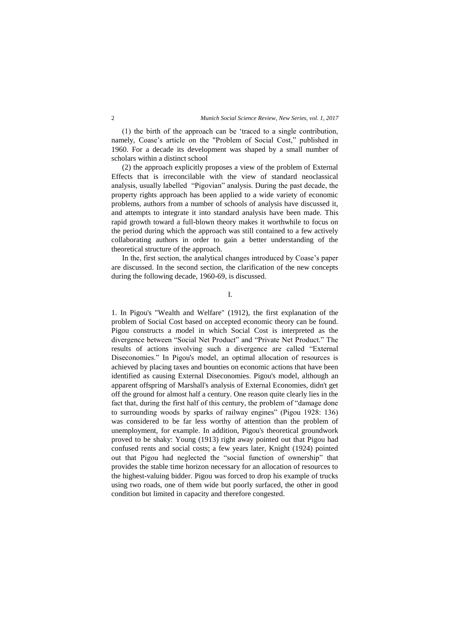(1) the birth of the approach can be 'traced to a single contribution, namely, Coase's article on the "Problem of Social Cost," published in 1960. For a decade its development was shaped by a small number of scholars within a distinct school

(2) the approach explicitly proposes a view of the problem of External Effects that is irreconcilable with the view of standard neoclassical analysis, usually labelled "Pigovian" analysis. During the past decade, the property rights approach has been applied to a wide variety of economic problems, authors from a number of schools of analysis have discussed it, and attempts to integrate it into standard analysis have been made. This rapid growth toward a full-blown theory makes it worthwhile to focus on the period during which the approach was still contained to a few actively collaborating authors in order to gain a better understanding of the theoretical structure of the approach.

In the, first section, the analytical changes introduced by Coase's paper are discussed. In the second section, the clarification of the new concepts during the following decade, 1960-69, is discussed.

I.

1. In Pigou's "Wealth and Welfare" (1912), the first explanation of the problem of Social Cost based on accepted economic theory can be found. Pigou constructs a model in which Social Cost is interpreted as the divergence between "Social Net Product" and "Private Net Product." The results of actions involving such a divergence are called "External Diseconomies." In Pigou's model, an optimal allocation of resources is achieved by placing taxes and bounties on economic actions that have been identified as causing External Diseconomies. Pigou's model, although an apparent offspring of Marshall's analysis of External Economies, didn't get off the ground for almost half a century. One reason quite clearly lies in the fact that, during the first half of this century, the problem of "damage done to surrounding woods by sparks of railway engines" (Pigou 1928: 136) was considered to be far less worthy of attention than the problem of unemployment, for example. In addition, Pigou's theoretical groundwork proved to be shaky: Young (1913) right away pointed out that Pigou had confused rents and social costs; a few years later, Knight (1924) pointed out that Pigou had neglected the "social function of ownership" that provides the stable time horizon necessary for an allocation of resources to the highest-valuing bidder. Pigou was forced to drop his example of trucks using two roads, one of them wide but poorly surfaced, the other in good condition but limited in capacity and therefore congested.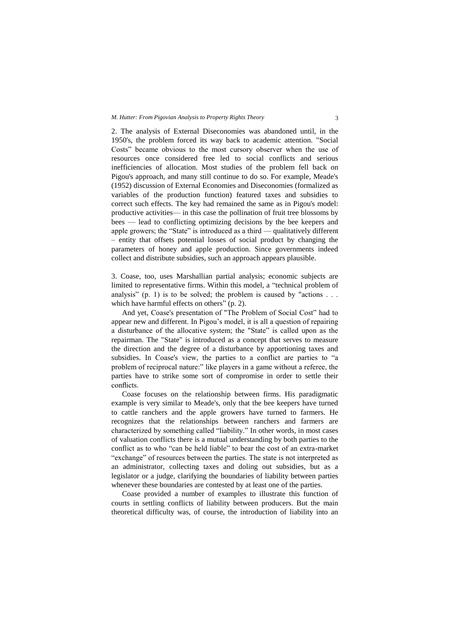2. The analysis of External Diseconomies was abandoned until, in the 1950's, the problem forced its way back to academic attention. "Social Costs" became obvious to the most cursory observer when the use of resources once considered free led to social conflicts and serious inefficiencies of allocation. Most studies of the problem fell back on Pigou's approach, and many still continue to do so. For example, Meade's (1952) discussion of External Economies and Diseconomies (formalized as variables of the production function) featured taxes and subsidies to correct such effects. The key had remained the same as in Pigou's model: productive activities— in this case the pollination of fruit tree blossoms by bees — lead to conflicting optimizing decisions by the bee keepers and apple growers; the "State" is introduced as a third  $-$  qualitatively different – entity that offsets potential losses of social product by changing the parameters of honey and apple production. Since governments indeed collect and distribute subsidies, such an approach appears plausible.

3. Coase, too, uses Marshallian partial analysis; economic subjects are limited to representative firms. Within this model, a "technical problem of analysis" (p. 1) is to be solved; the problem is caused by "actions  $\ldots$ which have harmful effects on others" (p. 2).

And yet, Coase's presentation of "The Problem of Social Cost" had to appear new and different. In Pigou's model, it is all a question of repairing a disturbance of the allocative system; the "State" is called upon as the repairman. The "State" is introduced as a concept that serves to measure the direction and the degree of a disturbance by apportioning taxes and subsidies. In Coase's view, the parties to a conflict are parties to "a problem of reciprocal nature:" like players in a game without a referee, the parties have to strike some sort of compromise in order to settle their conflicts.

Coase focuses on the relationship between firms. His paradigmatic example is very similar to Meade's, only that the bee keepers have turned to cattle ranchers and the apple growers have turned to farmers. He recognizes that the relationships between ranchers and farmers are characterized by something called "liability." In other words, in most cases of valuation conflicts there is a mutual understanding by both parties to the conflict as to who "can be held liable" to bear the cost of an extra-market "exchange" of resources between the parties. The state is not interpreted as an administrator, collecting taxes and doling out subsidies, but as a legislator or a judge, clarifying the boundaries of liability between parties whenever these boundaries are contested by at least one of the parties.

Coase provided a number of examples to illustrate this function of courts in settling conflicts of liability between producers. But the main theoretical difficulty was, of course, the introduction of liability into an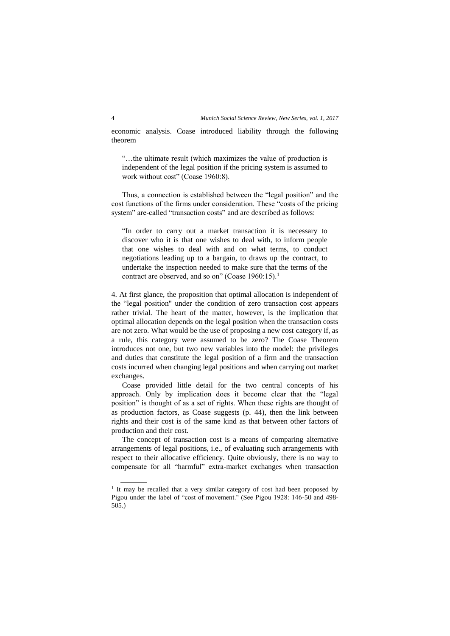economic analysis. Coase introduced liability through the following theorem

"…the ultimate result (which maximizes the value of production is independent of the legal position if the pricing system is assumed to work without cost" (Coase 1960:8).

Thus, a connection is established between the "legal position" and the cost functions of the firms under consideration. These "costs of the pricing system" are-called "transaction costs" and are described as follows:

"In order to carry out a market transaction it is necessary to discover who it is that one wishes to deal with, to inform people that one wishes to deal with and on what terms, to conduct negotiations leading up to a bargain, to draws up the contract, to undertake the inspection needed to make sure that the terms of the contract are observed, and so on" (Coase 1960:15).<sup>1</sup>

4. At first glance, the proposition that optimal allocation is independent of the "legal position" under the condition of zero transaction cost appears rather trivial. The heart of the matter, however, is the implication that optimal allocation depends on the legal position when the transaction costs are not zero. What would be the use of proposing a new cost category if, as a rule, this category were assumed to be zero? The Coase Theorem introduces not one, but two new variables into the model: the privileges and duties that constitute the legal position of a firm and the transaction costs incurred when changing legal positions and when carrying out market exchanges.

Coase provided little detail for the two central concepts of his approach. Only by implication does it become clear that the "legal position" is thought of as a set of rights. When these rights are thought of as production factors, as Coase suggests (p. 44), then the link between rights and their cost is of the same kind as that between other factors of production and their cost.

The concept of transaction cost is a means of comparing alternative arrangements of legal positions, i.e., of evaluating such arrangements with respect to their allocative efficiency. Quite obviously, there is no way to compensate for all "harmful" extra-market exchanges when transaction

 $\overline{a}$ 

<sup>&</sup>lt;sup>1</sup> It may be recalled that a very similar category of cost had been proposed by Pigou under the label of "cost of movement." (See Pigou 1928: 146-50 and 498- 505.)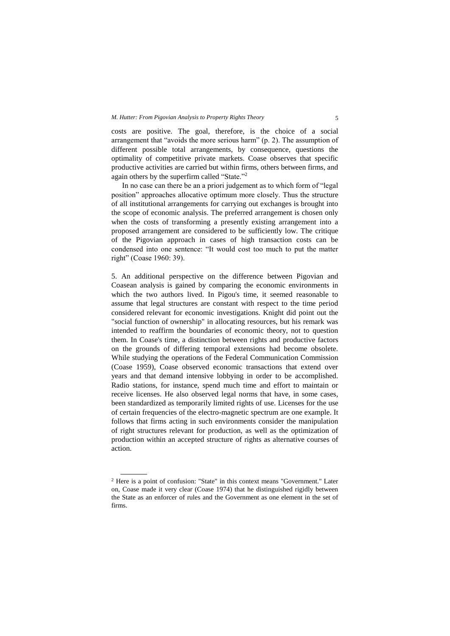costs are positive. The goal, therefore, is the choice of a social arrangement that "avoids the more serious harm" (p. 2). The assumption of different possible total arrangements, by consequence, questions the optimality of competitive private markets. Coase observes that specific productive activities are carried but within firms, others between firms, and again others by the superfirm called "State."<sup>2</sup>

In no case can there be an a priori judgement as to which form of "legal position" approaches allocative optimum more closely. Thus the structure of all institutional arrangements for carrying out exchanges is brought into the scope of economic analysis. The preferred arrangement is chosen only when the costs of transforming a presently existing arrangement into a proposed arrangement are considered to be sufficiently low. The critique of the Pigovian approach in cases of high transaction costs can be condensed into one sentence: "It would cost too much to put the matter right" (Coase 1960: 39).

5. An additional perspective on the difference between Pigovian and Coasean analysis is gained by comparing the economic environments in which the two authors lived. In Pigou's time, it seemed reasonable to assume that legal structures are constant with respect to the time period considered relevant for economic investigations. Knight did point out the "social function of ownership" in allocating resources, but his remark was intended to reaffirm the boundaries of economic theory, not to question them. In Coase's time, a distinction between rights and productive factors on the grounds of differing temporal extensions had become obsolete. While studying the operations of the Federal Communication Commission (Coase 1959), Coase observed economic transactions that extend over years and that demand intensive lobbying in order to be accomplished. Radio stations, for instance, spend much time and effort to maintain or receive licenses. He also observed legal norms that have, in some cases, been standardized as temporarily limited rights of use. Licenses for the use of certain frequencies of the electro-magnetic spectrum are one example. It follows that firms acting in such environments consider the manipulation of right structures relevant for production, as well as the optimization of production within an accepted structure of rights as alternative courses of action.

 $\overline{a}$ 

<sup>2</sup> Here is a point of confusion: "State" in this context means "Government." Later on, Coase made it very clear (Coase 1974) that he distinguished rigidly between the State as an enforcer of rules and the Government as one element in the set of firms.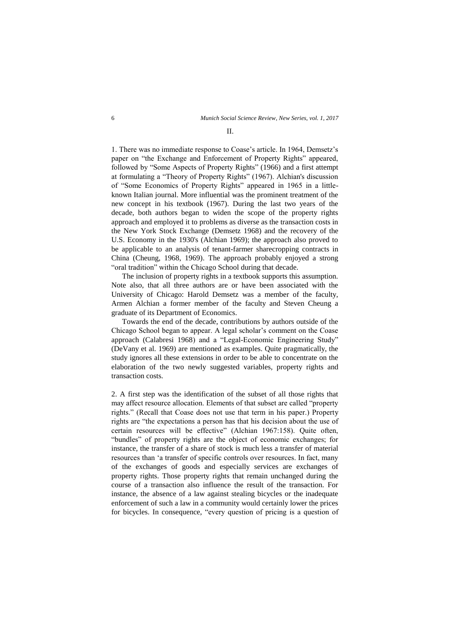## $II$ .

1. There was no immediate response to Coase's article. In 1964, Demsetz's paper on "the Exchange and Enforcement of Property Rights" appeared, followed by "Some Aspects of Property Rights" (1966) and a first attempt at formulating a "Theory of Property Rights" (1967). Alchian's discussion of "Some Economics of Property Rights" appeared in 1965 in a littleknown Italian journal. More influential was the prominent treatment of the new concept in his textbook (1967). During the last two years of the decade, both authors began to widen the scope of the property rights approach and employed it to problems as diverse as the transaction costs in the New York Stock Exchange (Demsetz 1968) and the recovery of the U.S. Economy in the 1930's (Alchian 1969); the approach also proved to be applicable to an analysis of tenant-farmer sharecropping contracts in China (Cheung, 1968, 1969). The approach probably enjoyed a strong "oral tradition" within the Chicago School during that decade.

The inclusion of property rights in a textbook supports this assumption. Note also, that all three authors are or have been associated with the University of Chicago: Harold Demsetz was a member of the faculty, Armen Alchian a former member of the faculty and Steven Cheung a graduate of its Department of Economics.

Towards the end of the decade, contributions by authors outside of the Chicago School began to appear. A legal scholar's comment on the Coase approach (Calabresi 1968) and a "Legal-Economic Engineering Study" (DeVany et al. 1969) are mentioned as examples. Quite pragmatically, the study ignores all these extensions in order to be able to concentrate on the elaboration of the two newly suggested variables, property rights and transaction costs.

2. A first step was the identification of the subset of all those rights that may affect resource allocation. Elements of that subset are called "property rights." (Recall that Coase does not use that term in his paper.) Property rights are "the expectations a person has that his decision about the use of certain resources will be effective" (Alchian 1967:158). Quite often, "bundles" of property rights are the object of economic exchanges; for instance, the transfer of a share of stock is much less a transfer of material resources than 'a transfer of specific controls over resources. In fact, many of the exchanges of goods and especially services are exchanges of property rights. Those property rights that remain unchanged during the course of a transaction also influence the result of the transaction. For instance, the absence of a law against stealing bicycles or the inadequate enforcement of such a law in a community would certainly lower the prices for bicycles. In consequence, "every question of pricing is a question of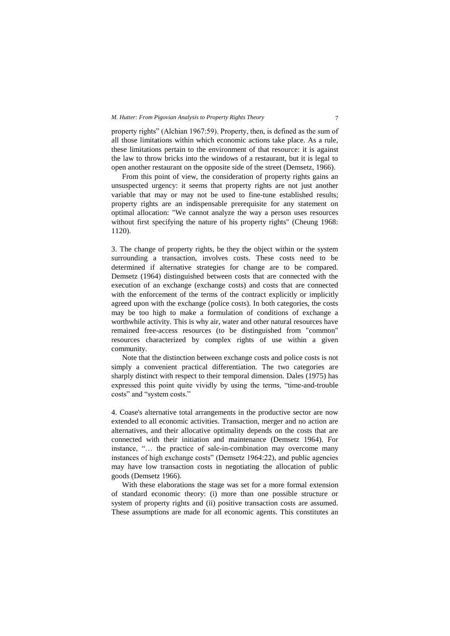property rights" (Alchian 1967:59). Property, then, is defined as the sum of all those limitations within which economic actions take place. As a rule, these limitations pertain to the environment of that resource: it is against the law to throw bricks into the windows of a restaurant, but it is legal to open another restaurant on the opposite side of the street (Demsetz, 1966).

From this point of view, the consideration of property rights gains an unsuspected urgency: it seems that property rights are not just another variable that may or may not be used to fine-tune established results; property rights are an indispensable prerequisite for any statement on optimal allocation: "We cannot analyze the way a person uses resources without first specifying the nature of his property rights" (Cheung 1968: 1120).

3. The change of property rights, be they the object within or the system surrounding a transaction, involves costs. These costs need to be determined if alternative strategies for change are to be compared. Demsetz (1964) distinguished between costs that are connected with the execution of an exchange (exchange costs) and costs that are connected with the enforcement of the terms of the contract explicitly or implicitly agreed upon with the exchange (police costs). In both categories, the costs may be too high to make a formulation of conditions of exchange a worthwhile activity. This is why air, water and other natural resources have remained free-access resources (to be distinguished from "common" resources characterized by complex rights of use within a given community.

Note that the distinction between exchange costs and police costs is not simply a convenient practical differentiation. The two categories are sharply distinct with respect to their temporal dimension. Dales (1975) has expressed this point quite vividly by using the terms, "time-and-trouble costs" and "system costs."

4. Coase's alternative total arrangements in the productive sector are now extended to all economic activities. Transaction, merger and no action are alternatives, and their allocative optimality depends on the costs that are connected with their initiation and maintenance (Demsetz 1964). For instance, "… the practice of sale-in-combination may overcome many instances of high exchange costs" (Demsetz 1964:22), and public agencies may have low transaction costs in negotiating the allocation of public goods (Demsetz 1966).

With these elaborations the stage was set for a more formal extension of standard economic theory: (i) more than one possible structure or system of property rights and (ii) positive transaction costs are assumed. These assumptions are made for all economic agents. This constitutes an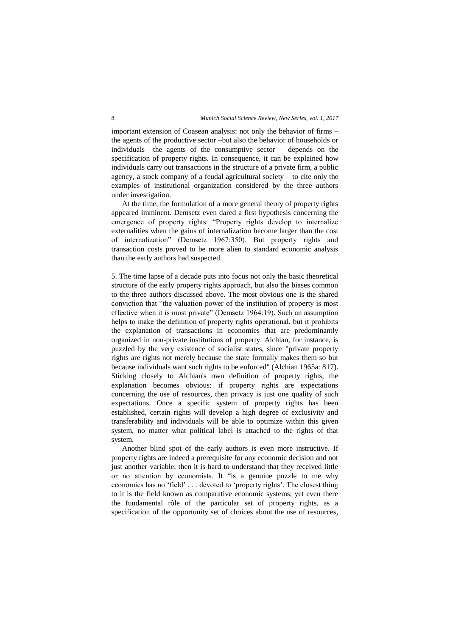important extension of Coasean analysis: not only the behavior of firms – the agents of the productive sector –but also the behavior of households or individuals –the agents of the consumptive sector – depends on the specification of property rights. In consequence, it can be explained how individuals carry out transactions in the structure of a private firm, a public agency, a stock company of a feudal agricultural society  $-$  to cite only the examples of institutional organization considered by the three authors under investigation.

At the time, the formulation of a more general theory of property rights appeared imminent. Demsetz even dared a first hypothesis concerning the emergence of property rights: "Property rights develop to internalize externalities when the gains of internalization become larger than the cost of internalization" (Demsetz 1967:350). But property rights and transaction costs proved to be more alien to standard economic analysis than the early authors had suspected.

5. The time lapse of a decade puts into focus not only the basic theoretical structure of the early property rights approach, but also the biases common to the three authors discussed above. The most obvious one is the shared conviction that "the valuation power of the institution of property is most effective when it is most private" (Demsetz 1964:19). Such an assumption helps to make the definition of property rights operational, but it prohibits the explanation of transactions in economies that are predominantly organized in non-private institutions of property. Alchian, for instance, is puzzled by the very existence of socialist states, since "private property rights are rights not merely because the state formally makes them so but because individuals want such rights to be enforced" (Alchian 1965a: 817). Sticking closely to Alchian's own definition of property rights, the explanation becomes obvious: if property rights are expectations concerning the use of resources, then privacy is just one quality of such expectations. Once a specific system of property rights has been established, certain rights will develop a high degree of exclusivity and transferability and individuals will be able to optimize within this given system, no matter what political label is attached to the rights of that system.

Another blind spot of the early authors is even more instructive. If property rights are indeed a prerequisite for any economic decision and not just another variable, then it is hard to understand that they received little or no attention by economists. It "is a genuine puzzle to me why economics has no 'field' . . . devoted to 'property rights'. The closest thing to it is the field known as comparative economic systems; yet even there the fundamental rôle of the particular set of property rights, as a specification of the opportunity set of choices about the use of resources,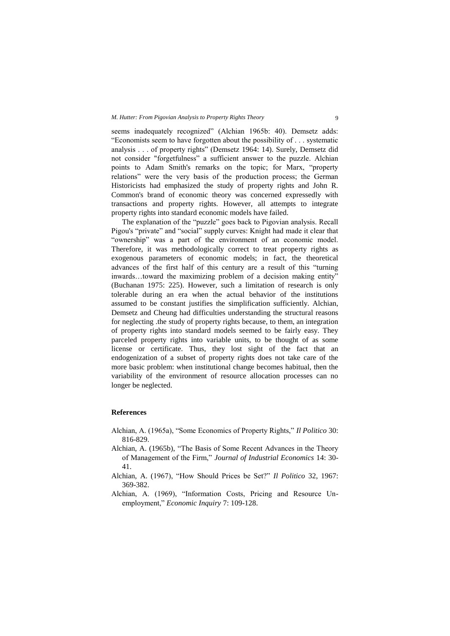seems inadequately recognized" (Alchian 1965b: 40). Demsetz adds: "Economists seem to have forgotten about the possibility of . . . systematic analysis . . . of property rights" (Demsetz 1964: 14). Surely, Demsetz did not consider "forgetfulness" a sufficient answer to the puzzle. Alchian points to Adam Smith's remarks on the topic; for Marx, "property relations" were the very basis of the production process; the German Historicists had emphasized the study of property rights and John R. Common's brand of economic theory was concerned expressedly with transactions and property rights. However, all attempts to integrate property rights into standard economic models have failed.

The explanation of the "puzzle" goes back to Pigovian analysis. Recall Pigou's "private" and "social" supply curves: Knight had made it clear that "ownership" was a part of the environment of an economic model. Therefore, it was methodologically correct to treat property rights as exogenous parameters of economic models; in fact, the theoretical advances of the first half of this century are a result of this "turning inwards…toward the maximizing problem of a decision making entity" (Buchanan 1975: 225). However, such a limitation of research is only tolerable during an era when the actual behavior of the institutions assumed to be constant justifies the simplification sufficiently. Alchian, Demsetz and Cheung had difficulties understanding the structural reasons for neglecting .the study of property rights because, to them, an integration of property rights into standard models seemed to be fairly easy. They parceled property rights into variable units, to be thought of as some license or certificate. Thus, they lost sight of the fact that an endogenization of a subset of property rights does not take care of the more basic problem: when institutional change becomes habitual, then the variability of the environment of resource allocation processes can no longer be neglected.

## **References**

- Alchian, A. (1965a), "Some Economics of Property Rights," *Il Politico* 30: 816-829.
- Alchian, A. (1965b), "The Basis of Some Recent Advances in the Theory of Management of the Firm," *Journal of Industrial Economics* 14: 30- 41.
- Alchian, A. (1967), "How Should Prices be Set?" *Il Politico* 32, 1967: 369-382.
- Alchian, A. (1969), "Information Costs, Pricing and Resource Unemployment," *Economic Inquiry* 7: 109-128.